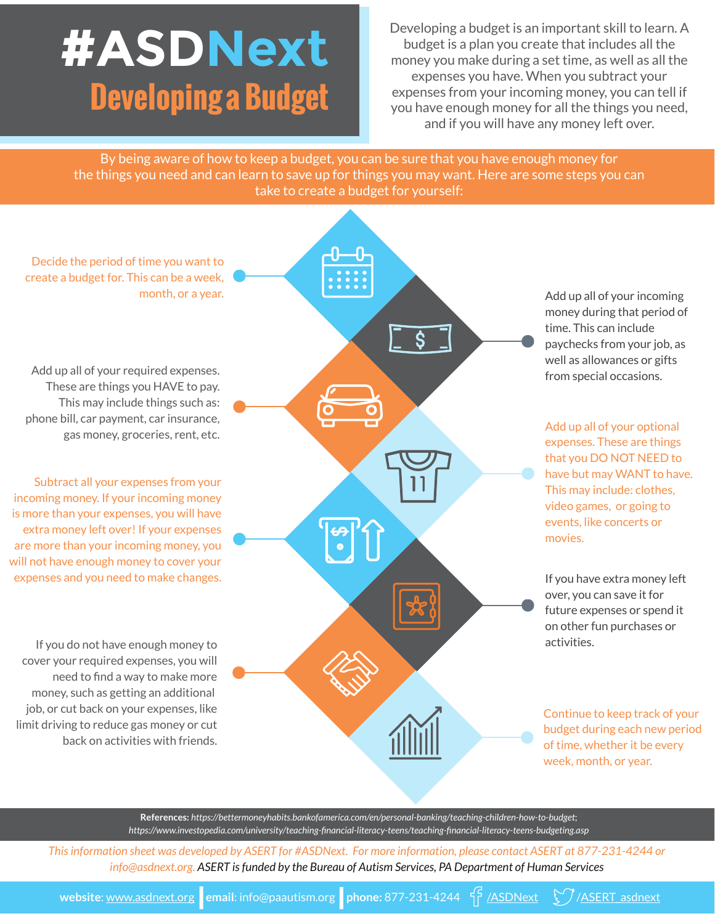## **#ASDNext Developing a Budget**

Developing a budget is an important skill to learn. A budget is a plan you create that includes all the money you make during a set time, as well as all the expenses you have. When you subtract your expenses from your incoming money, you can tell if you have enough money for all the things you need, and if you will have any money left over.

By being aware of how to keep a budget, you can be sure that you have enough money for the things you need and can learn to save up for things you may want. Here are some steps you can take to create a budget for yourself:



**References:** *https://bettermoneyhabits.bankofamerica.com/en/personal-banking/teaching-children-how-to-budget*; *https://www.investopedia.com/university/teaching-financial-literacy-teens/teaching-financial-literacy-teens-budgeting.asp*

*This information sheet was developed by ASERT for #ASDNext. For more information, please contact ASERT at 877-231-4244 or info@asdnext.org. ASERT is funded by the Bureau of Autism Services, PA Department of Human Services*